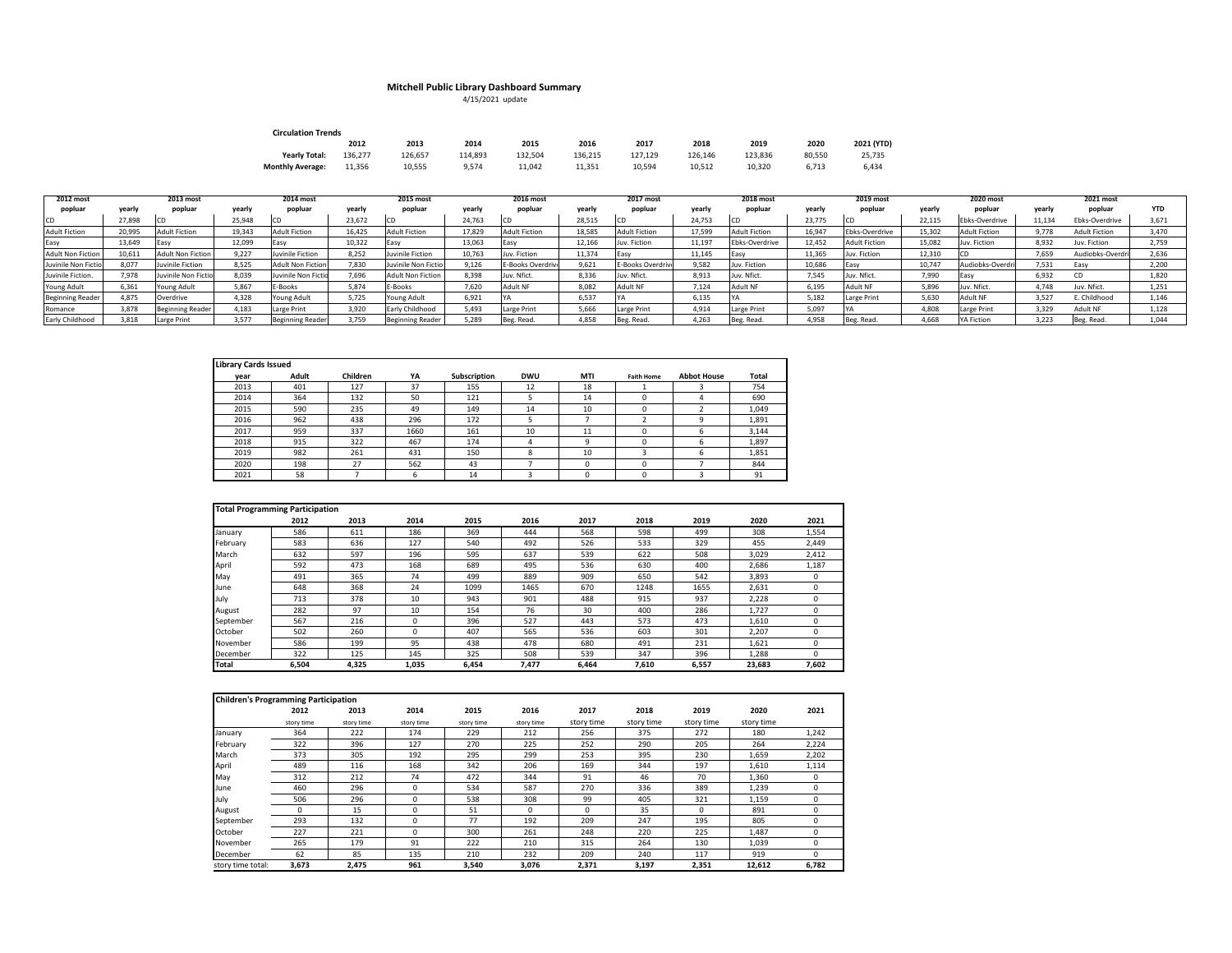## **Mitchell Public Library Dashboard Summary** 4/15/2021 update

| <b>Circulation Trends</b> |         |         |         |         |         |         |         |         |        |            |  |  |  |
|---------------------------|---------|---------|---------|---------|---------|---------|---------|---------|--------|------------|--|--|--|
|                           | 2012    | 2013    | 2014    | 2015    | 2016    | 2017    | 2018    | 2019    | 2020   | 2021 (YTD) |  |  |  |
| <b>Yearly Total:</b>      | 136.277 | 126.657 | 114.893 | 132.504 | 136.215 | 127.129 | 126.146 | 123.836 | 80.550 | 25.735     |  |  |  |
| <b>Monthly Average:</b>   | 11.356  | 10.555  | 9.574   | 11.042  | 11.351  | 10.594  | 10.512  | 10.320  | 6.713  | 6.434      |  |  |  |

| 2012 most                |        | 2013 most                |        | 2014 most               |        | 2015 most                |        | 2016 most            |        | 2017 most        |        | 2018 most             |        | 2019 most            |        | 2020 most            |        | 2021 most            |       |
|--------------------------|--------|--------------------------|--------|-------------------------|--------|--------------------------|--------|----------------------|--------|------------------|--------|-----------------------|--------|----------------------|--------|----------------------|--------|----------------------|-------|
| popluar                  | yearly | popluar                  | vearly | popluar                 | yearly | popluar                  | yearly | popluar              | yearly | popluar          | yearly | popluar               | yearly | popluar              | yearly | popluar              | yearly | popluar              |       |
|                          | 27,898 |                          | 25,948 |                         | 23,672 |                          | 24,763 |                      | 28,515 |                  | 24.753 |                       | 23,775 |                      | 22.115 | Ebks-Overdrive       | 11.134 | Ebks-Overdrive       | 3.671 |
| <b>Adult Fiction</b>     | 20.995 | Adult Fiction            | 19.343 | Adult Fiction           | 16.425 | Adult Fiction            | 17.829 | <b>Adult Fiction</b> | 18.585 | Adult Fiction    | 17.599 | <b>Adult Fiction</b>  | 16.947 | Ebks-Overdrive       | 15.302 | <b>Adult Fiction</b> | 9.778  | <b>Adult Fiction</b> | 3.470 |
| Easy                     | 13.649 |                          | 12.099 | ,Easy                   | 10,322 | <b>IEasy</b>             | 13,063 |                      | 12.166 | Juv. Fiction     | 11.197 | <b>Ebks-Overdrive</b> | 12.452 | <b>Adult Fiction</b> | 15.082 | Juv. Fiction         | 8.932  | Juv. Fiction         | 2.759 |
| <b>Adult Non Fiction</b> | 10,611 | <b>Adult Non Fiction</b> | 9.227  | Juvinile Fiction        | 8,252  | Juvinile Fiction         | 10,763 | Juv. Fiction         | 11,374 |                  | 11,145 | Lasy                  | 11,365 | luv. Fiction         | 12,310 |                      | 7.659  | Audiobks-Overdr      | 2,636 |
| Juvinile Non Fictio      | 8.077  | Juvinile Fiction         | 8,525  | Adult Non Fiction       | 7,830  | Juvinile Non Ficti       | 9,126  | E-Books Overdriv     | 9,621  | E-Books Overdriv | 9,582  | Juv. Fiction          | 10,686 |                      | 10.747 | Audiobks-Overdri     | 7,531  | Easy                 | 2,200 |
| Juvinile Fiction.        | 7.978  | Juvinile Non Fictio      | 8,039  | Juvinile Non Fictio     | 7,696  | <b>Adult Non Fiction</b> | 8,398  | Juv. Nfict.          | 8,336  | luv. Nfict.      | 8.913  | uv. Nfict.            | 7,545  | Juv. Nfict.          | 7,990  |                      | 6,932  |                      | 1,820 |
| <b>Young Adult</b>       | 6.361  | Young Adult              | 5,867  | E-Books                 | 5,874  | E-Books                  | 7,620  | Adult NF             | 8,082  | <b>Adult NF</b>  | 7.124  | Adult NF              | 6,195  | Adult NF             | 5,896  | uv. Nfict.           | 4.748  | Juv. Nfict.          | 1.251 |
| <b>Beginning Reader</b>  | 4.875  | Overdrive                | 4.328  | Young Adult             | 5.725  | Young Adult              | 6,921  |                      | 6,537  |                  | 6.135  |                       | 5.182  | Large Print          | 5,630  | Adult NF             | 3.527  | E. Childhood         | 1.146 |
| Romance                  | 3,878  | <b>Beginning Reader</b>  | 1.183  | Large Print             | 3,920  | Early Childhood          | 5,493  | Large Print          | 5.666  | Large Print      | 4.914  | Large Print           | 5,097  |                      | 4,808  | Large Print          | 3.329  | <b>Adult NF</b>      | 1.128 |
| Early Childhood          | 3.818  | Large Print              | 3.577  | <b>Beginning Reader</b> | 3.759  | <b>Beginning Reader</b>  | 5,289  | Beg. Read.           | 4.858  | Beg. Read.       | 4.263  | Beg. Read.            | 4.958  | Beg. Read.           | 4.668  | <b>YA Fiction</b>    | 3.223  | Beg. Read.           | 1.044 |

| <b>Library Cards Issued</b> |       |          |      |              |            |          |                   |                    |       |
|-----------------------------|-------|----------|------|--------------|------------|----------|-------------------|--------------------|-------|
| vear                        | Adult | Children | YA   | Subscription | <b>DWU</b> | MTI      | <b>Faith Home</b> | <b>Abbot House</b> | Total |
| 2013                        | 401   | 127      | 37   | 155          | 12         | 18       |                   |                    | 754   |
| 2014                        | 364   | 132      | 50   | 121          |            | 14       | 0                 | 4                  | 690   |
| 2015                        | 590   | 235      | 49   | 149          | 14         | 10       | $\Omega$          |                    | 1,049 |
| 2016                        | 962   | 438      | 296  | 172          |            |          |                   | a                  | 1,891 |
| 2017                        | 959   | 337      | 1660 | 161          | 10         | 11       | $\Omega$          | 6                  | 3,144 |
| 2018                        | 915   | 322      | 467  | 174          | 4          | q        | $\Omega$          | 6                  | 1,897 |
| 2019                        | 982   | 261      | 431  | 150          | 8          | 10       | o                 | 6                  | 1,851 |
| 2020                        | 198   | 27       | 562  | 43           |            | 0        | $\Omega$          |                    | 844   |
| 2021                        | 58    |          | 6    | 14           |            | $\Omega$ | 0                 |                    | 91    |

|           | <b>Total Programming Participation</b> |       |       |       |       |       |       |       |        |       |
|-----------|----------------------------------------|-------|-------|-------|-------|-------|-------|-------|--------|-------|
|           | 2012                                   | 2013  | 2014  | 2015  | 2016  | 2017  | 2018  | 2019  | 2020   | 2021  |
| January   | 586                                    | 611   | 186   | 369   | 444   | 568   | 598   | 499   | 308    | 1,554 |
| February  | 583                                    | 636   | 127   | 540   | 492   | 526   | 533   | 329   | 455    | 2,449 |
| March     | 632                                    | 597   | 196   | 595   | 637   | 539   | 622   | 508   | 3,029  | 2,412 |
| April     | 592                                    | 473   | 168   | 689   | 495   | 536   | 630   | 400   | 2.686  | 1,187 |
| May       | 491                                    | 365   | 74    | 499   | 889   | 909   | 650   | 542   | 3,893  | 0     |
| June      | 648                                    | 368   | 24    | 1099  | 1465  | 670   | 1248  | 1655  | 2,631  | 0     |
| July      | 713                                    | 378   | 10    | 943   | 901   | 488   | 915   | 937   | 2.228  | 0     |
| August    | 282                                    | 97    | 10    | 154   | 76    | 30    | 400   | 286   | 1.727  | 0     |
| September | 567                                    | 216   | 0     | 396   | 527   | 443   | 573   | 473   | 1.610  | 0     |
| October   | 502                                    | 260   | 0     | 407   | 565   | 536   | 603   | 301   | 2,207  | 0     |
| November  | 586                                    | 199   | 95    | 438   | 478   | 680   | 491   | 231   | 1.621  | 0     |
| December  | 322                                    | 125   | 145   | 325   | 508   | 539   | 347   | 396   | 1,288  | 0     |
| Total     | 6.504                                  | 4,325 | 1.035 | 6,454 | 7,477 | 6.464 | 7,610 | 6,557 | 23.683 | 7,602 |

| <b>Children's Programming Participation</b> |            |            |            |            |            |            |            |             |            |          |
|---------------------------------------------|------------|------------|------------|------------|------------|------------|------------|-------------|------------|----------|
|                                             | 2012       | 2013       | 2014       | 2015       | 2016       | 2017       | 2018       | 2019        | 2020       | 2021     |
|                                             | story time | story time | story time | story time | story time | story time | story time | story time  | story time |          |
| January                                     | 364        | 222        | 174        | 229        | 212        | 256        | 375        | 272         | 180        | 1,242    |
| February                                    | 322        | 396        | 127        | 270        | 225        | 252        | 290        | 205         | 264        | 2,224    |
| March                                       | 373        | 305        | 192        | 295        | 299        | 253        | 395        | 230         | 1,659      | 2,202    |
| April                                       | 489        | 116        | 168        | 342        | 206        | 169        | 344        | 197         | 1,610      | 1,114    |
| May                                         | 312        | 212        | 74         | 472        | 344        | 91         | 46         | 70          | 1,360      | 0        |
| June                                        | 460        | 296        | $\Omega$   | 534        | 587        | 270        | 336        | 389         | 1,239      | 0        |
| July                                        | 506        | 296        | $\Omega$   | 538        | 308        | 99         | 405        | 321         | 1,159      | 0        |
| August                                      | 0          | 15         | 0          | 51         | 0          | $\Omega$   | 35         | $\mathbf 0$ | 891        | 0        |
| September                                   | 293        | 132        | $\Omega$   | 77         | 192        | 209        | 247        | 195         | 805        | 0        |
| October                                     | 227        | 221        | $\Omega$   | 300        | 261        | 248        | 220        | 225         | 1,487      | 0        |
| November                                    | 265        | 179        | 91         | 222        | 210        | 315        | 264        | 130         | 1,039      | 0        |
| December                                    | 62         | 85         | 135        | 210        | 232        | 209        | 240        | 117         | 919        | $\Omega$ |
| story time total:                           | 3,673      | 2,475      | 961        | 3,540      | 3,076      | 2,371      | 3,197      | 2,351       | 12,612     | 6,782    |